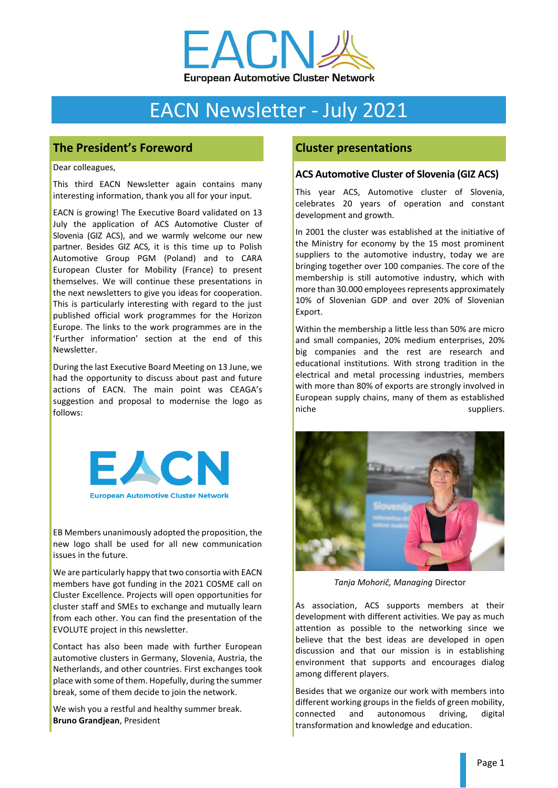

# EACN Newsletter - July 2021

# **The President's Foreword**

Dear colleagues,

This third EACN Newsletter again contains many interesting information, thank you all for your input.

EACN is growing! The Executive Board validated on 13 July the application of ACS Automotive Cluster of Slovenia (GIZ ACS), and we warmly welcome our new partner. Besides GIZ ACS, it is this time up to Polish Automotive Group PGM (Poland) and to CARA European Cluster for Mobility (France) to present themselves. We will continue these presentations in the next newsletters to give you ideas for cooperation. This is particularly interesting with regard to the just published official work programmes for the Horizon Europe. The links to the work programmes are in the 'Further information' section at the end of this Newsletter.

During the last Executive Board Meeting on 13 June, we had the opportunity to discuss about past and future actions of EACN. The main point was CEAGA's suggestion and proposal to modernise the logo as follows:



EB Members unanimously adopted the proposition, the new logo shall be used for all new communication issues in the future.

We are particularly happy that two consortia with EACN members have got funding in the 2021 COSME call on Cluster Excellence. Projects will open opportunities for cluster staff and SMEs to exchange and mutually learn from each other. You can find the presentation of the EVOLUTE project in this newsletter.

Contact has also been made with further European automotive clusters in Germany, Slovenia, Austria, the Netherlands, and other countries. First exchanges took place with some of them. Hopefully, during the summer break, some of them decide to join the network.

We wish you a restful and healthy summer break. **Bruno Grandjean**, President

# **Cluster presentations**

#### **ACS Automotive Cluster of Slovenia (GIZ ACS)**

This year ACS, Automotive cluster of Slovenia, celebrates 20 years of operation and constant development and growth.

In 2001 the cluster was established at the initiative of the Ministry for economy by the 15 most prominent suppliers to the automotive industry, today we are bringing together over 100 companies. The core of the membership is still automotive industry, which with more than 30.000 employees represents approximately 10% of Slovenian GDP and over 20% of Slovenian Export.

Within the membership a little less than 50% are micro and small companies, 20% medium enterprises, 20% big companies and the rest are research and educational institutions. With strong tradition in the electrical and metal processing industries, members with more than 80% of exports are strongly involved in European supply chains, many of them as established niche suppliers.



*Tanja Mohorič, Managing* Director

As association, ACS supports members at their development with different activities. We pay as much attention as possible to the networking since we believe that the best ideas are developed in open discussion and that our mission is in establishing environment that supports and encourages dialog among different players.

Besides that we organize our work with members into different working groups in the fields of green mobility, connected and autonomous driving, digital transformation and knowledge and education.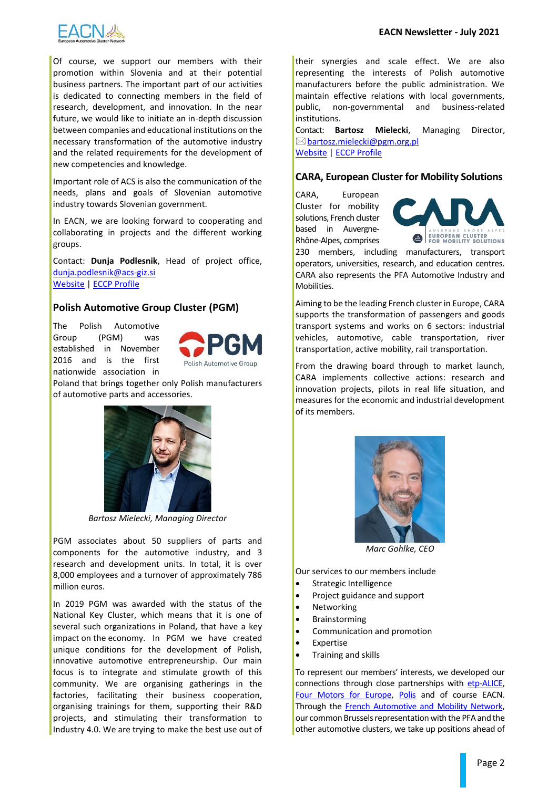

Of course, we support our members with their promotion within Slovenia and at their potential business partners. The important part of our activities is dedicated to connecting members in the field of research, development, and innovation. In the near future, we would like to initiate an in-depth discussion between companies and educational institutions on the necessary transformation of the automotive industry and the related requirements for the development of new competencies and knowledge.

Important role of ACS is also the communication of the needs, plans and goals of Slovenian automotive industry towards Slovenian government.

In EACN, we are looking forward to cooperating and collaborating in projects and the different working groups.

Contact: **Dunja Podlesnik**, Head of project office, [dunja.podlesnik@acs-giz.si](mailto:dunja.podlesnik@acs-giz.si) [Website](https://www.acs-giz.si/en) [| ECCP Profile](https://clustercollaboration.eu/content/giz-acs-automotive-cluster-slovenia)

#### **Polish Automotive Group Cluster (PGM)**

The Polish Automotive Group (PGM) was established in November 2016 and is the first nationwide association in



Poland that brings together only Polish manufacturers of automotive parts and accessories.



*Bartosz Mielecki, Managing Director*

PGM associates about 50 suppliers of parts and components for the automotive industry, and 3 research and development units. In total, it is over 8,000 employees and a turnover of approximately 786 million euros.

In 2019 PGM was awarded with the status of the National Key Cluster, which means that it is one of several such organizations in Poland, that have a key impact on the economy. In PGM we have created unique conditions for the development of Polish, innovative automotive entrepreneurship. Our main focus is to integrate and stimulate growth of this community. We are organising gatherings in the factories, facilitating their business cooperation, organising trainings for them, supporting their R&D projects, and stimulating their transformation to Industry 4.0. We are trying to make the best use out of

their synergies and scale effect. We are also representing the interests of Polish automotive manufacturers before the public administration. We maintain effective relations with local governments, public, non-governmental and business-related institutions.

Contact: **Bartosz Mielecki**, Managing Director,  $\boxtimes$  [bartosz.mielecki@pgm.org.pl](mailto:bartosz.mielecki@pgm.org.pl) [Website](http://www.pgm.org.pl/en) | ECCP [Profile](https://clustercollaboration.eu/content/polish-automotive-group-pgm)

#### **CARA, European Cluster for Mobility Solutions**

CARA, European Cluster for mobility solutions, French cluster based in Auvergne-Rhône-Alpes, comprises



230 members, including manufacturers, transport operators, universities, research, and education centres. CARA also represents the PFA Automotive Industry and Mobilities.

Aiming to be the leading French cluster in Europe, CARA supports the transformation of passengers and goods transport systems and works on 6 sectors: industrial vehicles, automotive, cable transportation, river transportation, active mobility, rail transportation.

From the drawing board through to market launch, CARA implements collective actions: research and innovation projects, pilots in real life situation, and measures for the economic and industrial development of its members.



*Marc Gohlke, CEO*

Our services to our members include

- Strategic Intelligence
- Project guidance and support
- **Networking**
- **Brainstorming**
- Communication and promotion
- **Expertise**
- Training and skills

To represent our members' interests, we developed our connections through close partnerships with [etp-ALICE,](https://www.etp-logistics.eu/) [Four Motors for Europe,](https://www.4motors.eu/en/) [Polis](https://www.polisnetwork.eu/) and of course EACN. Through the [French Automotive and Mobility Network,](http://frenchmobility.eu/index.php/en/home-2/)  our common Brussels representation with the PFA and the other automotive clusters, we take up positions ahead of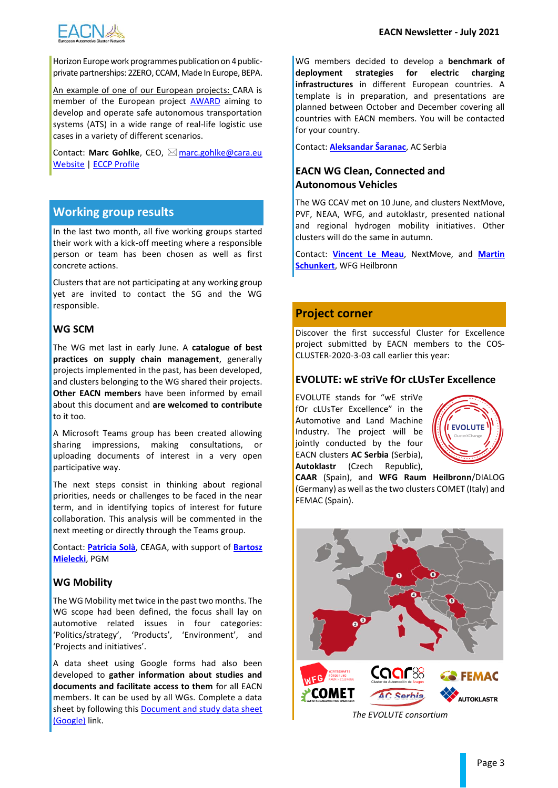

Horizon Europe work programmes publication on 4 publicprivate partnerships: 2ZERO, CCAM, Made In Europe, BEPA.

An example of one of our European projects: CARA is member of the European project **[AWARD](https://award-h2020.eu/)** aiming to develop and operate safe autonomous transportation systems (ATS) in a wide range of real-life logistic use cases in a variety of different scenarios.

Contact: Marc Gohlke, CEO, ⊠ [marc.gohlke@cara.eu](mailto:marc.gohlke@cara.eu) [Website](https://www.cara.eu/en/) [| ECCP Profile](https://clustercollaboration.eu/content/cara)

## **Working group results**

In the last two month, all five working groups started their work with a kick-off meeting where a responsible person or team has been chosen as well as first concrete actions.

Clusters that are not participating at any working group yet are invited to contact the SG and the WG responsible.

#### **WG SCM**

The WG met last in early June. A **catalogue of best practices on supply chain management**, generally projects implemented in the past, has been developed, and clusters belonging to the WG shared their projects. **Other EACN members** have been informed by email about this document and **are welcomed to contribute** to it too.

A Microsoft Teams group has been created allowing sharing impressions, making consultations, or uploading documents of interest in a very open participative way.

The next steps consist in thinking about regional priorities, needs or challenges to be faced in the near term, and in identifying topics of interest for future collaboration. This analysis will be commented in the next meeting or directly through the Teams group.

Contact: **[Patricia Solà](mailto:patricia.sola@ceaga.com;%20bartosz.mielecki@pgm.org.pl?subject=[EACN%20WG%20SCM]%20)**, CEAGA, with support of **[Bartosz](mailto:patricia.sola@ceaga.com;%20bartosz.mielecki@pgm.org.pl?subject=[EACN%20WG%20SCM]%20)  [Mielecki](mailto:patricia.sola@ceaga.com;%20bartosz.mielecki@pgm.org.pl?subject=[EACN%20WG%20SCM]%20)**, PGM

#### **WG Mobility**

The WG Mobility met twice in the past two months. The WG scope had been defined, the focus shall lay on automotive related issues in four categories: 'Politics/strategy', 'Products', 'Environment', and 'Projects and initiatives'.

A data sheet using Google forms had also been developed to **gather information about studies and documents and facilitate access to them** for all EACN members. It can be used by all WGs. Complete a data sheet by following this [Document and study data sheet](https://forms.gle/EM5WXWZCoojAEhgw9)  [\(Google\)](https://forms.gle/EM5WXWZCoojAEhgw9) link.

WG members decided to develop a **benchmark of deployment strategies for electric charging infrastructures** in different European countries. A template is in preparation, and presentations are planned between October and December covering all countries with EACN members. You will be contacted for your country.

Contact: **[Aleksandar Šaranac](mailto:aleksandar.saranac@acserbia.org.rs?subject=[EACN%20WG%20Mobility]%20)**, AC Serbia

#### **EACN WG Clean, Connected and Autonomous Vehicles**

The WG CCAV met on 10 June, and clusters NextMove, PVF, NEAA, WFG, and autoklastr, presented national and regional hydrogen mobility initiatives. Other clusters will do the same in autumn.

Contact: **[Vincent Le Meau](mailto:vincent.le-meau@nextmove.fr;%20schunkert@wfgheilbronn.de?subject=[EACN%20WG%20CCAV]%20)**, NextMove, and **[Martin](mailto:vincent.le-meau@nextmove.fr;%20schunkert@wfgheilbronn.de?subject=[EACN%20WG%20CCAV]%20)  [Schunkert](mailto:vincent.le-meau@nextmove.fr;%20schunkert@wfgheilbronn.de?subject=[EACN%20WG%20CCAV]%20)**, WFG Heilbronn

#### **Project corner**

Discover the first successful Cluster for Excellence project submitted by EACN members to the COS-CLUSTER-2020-3-03 call earlier this year:

#### **EVOLUTE: wE striVe fOr cLUsTer Excellence**

EVOLUTE stands for "wE striVe fOr cLUsTer Excellence" in the Automotive and Land Machine Industry. The project will be jointly conducted by the four EACN clusters **AC Serbia** (Serbia), **Autoklastr** (Czech Republic),



**CAAR** (Spain), and **WFG Raum Heilbronn**/DIALOG (Germany) as well as the two clusters COMET (Italy) and FEMAC (Spain).



*The EVOLUTE consortium*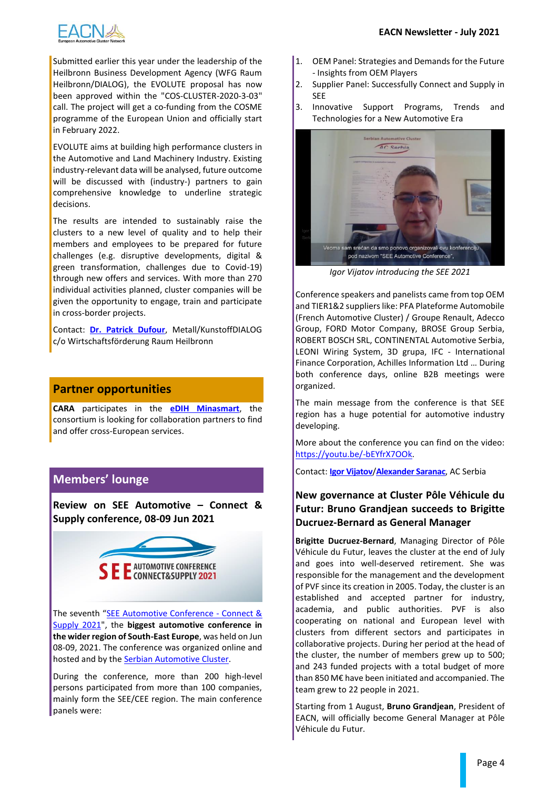

Submitted earlier this year under the leadership of the Heilbronn Business Development Agency (WFG Raum Heilbronn/DIALOG), the EVOLUTE proposal has now been approved within the "COS-CLUSTER-2020-3-03" call. The project will get a co-funding from the COSME programme of the European Union and officially start in February 2022.

EVOLUTE aims at building high performance clusters in the Automotive and Land Machinery Industry. Existing industry-relevant data will be analysed, future outcome will be discussed with (industry-) partners to gain comprehensive knowledge to underline strategic decisions.

The results are intended to sustainably raise the clusters to a new level of quality and to help their members and employees to be prepared for future challenges (e.g. disruptive developments, digital & green transformation, challenges due to Covid-19) through new offers and services. With more than 270 individual activities planned, cluster companies will be given the opportunity to engage, train and participate in cross-border projects.

Contact: **[Dr. Patrick Dufour](mailto:dufour@wfgheilbronn.de)**, Metall/KunstoffDIALOG c/o Wirtschaftsförderung Raum Heilbronn

## **Partner opportunities**

**CARA** participates in the **[eDIH Minasmart](https://www.minasmart-auvergnerhonealpes.com/en/mission/)**, the consortium is looking for collaboration partners to find and offer cross-European services.

# **Members' lounge**

**Review on SEE Automotive – Connect & Supply conference, 08-09 Jun 2021**



The seventh "[SEE Automotive Conference -](https://www.seeautomotive.com/) Connect & [Supply 2021"](https://www.seeautomotive.com/), the **biggest automotive conference in the wider region of South-East Europe**, was held on Jun 08-09, 2021. The conference was organized online and hosted and by the **Serbian Automotive Cluster**.

During the conference, more than 200 high-level persons participated from more than 100 companies, mainly form the SEE/CEE region. The main conference panels were:

- 1. OEM Panel: Strategies and Demands for the Future - Insights from OEM Players
- 2. Supplier Panel: Successfully Connect and Supply in SEE
- 3. Innovative Support Programs, Trends and Technologies for a New Automotive Era



*Igor Vijatov introducing the SEE 2021*

Conference speakers and panelists came from top OEM and TIER1&2 suppliers like: PFA Plateforme Automobile (French Automotive Cluster) / Groupe Renault, Adecco Group, FORD Motor Company, BROSE Group Serbia, ROBERT BOSCH SRL, CONTINENTAL Automotive Serbia, LEONI Wiring System, 3D grupa, IFC - International Finance Corporation, Achilles Information Ltd … During both conference days, online B2B meetings were organized.

The main message from the conference is that SEE region has a huge potential for automotive industry developing.

More about the conference you can find on the video: [https://youtu.be/-bEYfrX7OOk.](https://youtu.be/-bEYfrX7OOk)

Contact: **[Igor Vijatov](mailto:IgorVijatov@acserbia.org.rs)**/**[Alexander Saranac](mailto:aleksandar.saranac@acserbia.org.rs)**, AC Serbia

## **New governance at Cluster Pôle Véhicule du Futur: Bruno Grandjean succeeds to Brigitte Ducruez-Bernard as General Manager**

**Brigitte Ducruez-Bernard**, Managing Director of Pôle Véhicule du Futur, leaves the cluster at the end of July and goes into well-deserved retirement. She was responsible for the management and the development of PVF since its creation in 2005. Today, the cluster is an established and accepted partner for industry, academia, and public authorities. PVF is also cooperating on national and European level with clusters from different sectors and participates in collaborative projects. During her period at the head of the cluster, the number of members grew up to 500; and 243 funded projects with a total budget of more than 850 M€ have been initiated and accompanied. The team grew to 22 people in 2021.

Starting from 1 August, **Bruno Grandjean**, President of EACN, will officially become General Manager at Pôle Véhicule du Futur.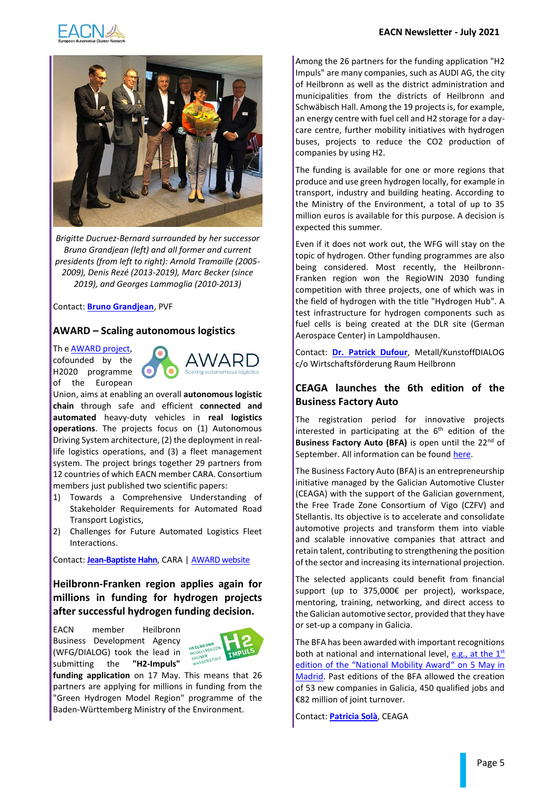



*Brigitte Ducruez-Bernard surrounded by her successor Bruno Grandjean (left) and all former and current presidents (from left to right): Arnold Tramaille (2005- 2009), Denis Rezé (2013-2019), Marc Becker (since 2019), and Georges Lammoglia (2010-2013)*

#### Contact: **[Bruno Grandjean](mailto:bg@vehiculedufutur.com)**, PVF

#### **AWARD – Scaling autonomous logistics**

Th e [AWARD project,](https://award-h2020.eu/) cofounded by the H2020 programme of the European



Union, aims at enabling an overall **autonomous logistic chain** through safe and efficient **connected and automated** heavy-duty vehicles in **real logistics operations**. The projects focus on (1) Autonomous Driving System architecture, (2) the deployment in reallife logistics operations, and (3) a fleet management system. The project brings together 29 partners from 12 countries of which EACN member CARA. Consortium members just published two scientific papers:

- 1) Towards a Comprehensive Understanding of Stakeholder Requirements for Automated Road Transport Logistics,
- 2) Challenges for Future Automated Logistics Fleet Interactions.

Contact: **[Jean-Baptiste Hahn](mailto:jean-baptiste.hahn@cara.eu)**, CARA | [AWARD website](https://award-h2020.eu/)

**Heilbronn-Franken region applies again for millions in funding for hydrogen projects after successful hydrogen funding decision.**

EACN member Heilbronn Business Development Agency (WFG/DIALOG) took the lead in submitting the **"H2-Impuls"** 



**funding application** on 17 May. This means that 26 partners are applying for millions in funding from the "Green Hydrogen Model Region" programme of the Baden-Württemberg Ministry of the Environment.

Among the 26 partners for the funding application "H2 Impuls" are many companies, such as AUDI AG, the city of Heilbronn as well as the district administration and municipalities from the districts of Heilbronn and Schwäbisch Hall. Among the 19 projects is, for example, an energy centre with fuel cell and H2 storage for a daycare centre, further mobility initiatives with hydrogen buses, projects to reduce the CO2 production of companies by using H2.

The funding is available for one or more regions that produce and use green hydrogen locally, for example in transport, industry and building heating. According to the Ministry of the Environment, a total of up to 35 million euros is available for this purpose. A decision is expected this summer.

Even if it does not work out, the WFG will stay on the topic of hydrogen. Other funding programmes are also being considered. Most recently, the Heilbronn-Franken region won the RegioWIN 2030 funding competition with three projects, one of which was in the field of hydrogen with the title "Hydrogen Hub". A test infrastructure for hydrogen components such as fuel cells is being created at the DLR site (German Aerospace Center) in Lampoldhausen.

Contact: **[Dr. Patrick Dufour](mailto:dufour@wfgheilbronn.de)**, Metall/KunstoffDIALOG c/o Wirtschaftsförderung Raum Heilbronn

## **CEAGA launches the 6th edition of the Business Factory Auto**

The registration period for innovative projects interested in participating at the  $6<sup>th</sup>$  edition of the Business Factory Auto (BFA) is open until the 22<sup>nd</sup> of September. All information can be foun[d here.](http://www.bfauto.es/web/bfauto.es/en/index.asp)

The Business Factory Auto (BFA) is an entrepreneurship initiative managed by the Galician Automotive Cluster (CEAGA) with the support of the Galician government, the Free Trade Zone Consortium of Vigo (CZFV) and Stellantis. Its objective is to accelerate and consolidate automotive projects and transform them into viable and scalable innovative companies that attract and retain talent, contributing to strengthening the position of the sector and increasing its international projection.

The selected applicants could benefit from financial support (up to 375,000€ per project), workspace, mentoring, training, networking, and direct access to the Galician automotive sector, provided that they have or set-up a company in Galicia.

The BFA has been awarded with important recognitions both at national and international level[, e.g., at](https://www.ceaga.com/en/the-galician-automotive-sector-wins-a-sustainable-mobility-award/) the  $1<sup>st</sup>$ [edition of the "National Mobility Award"](https://www.ceaga.com/en/the-galician-automotive-sector-wins-a-sustainable-mobility-award/) on 5 May in [Madrid.](https://www.ceaga.com/en/the-galician-automotive-sector-wins-a-sustainable-mobility-award/) Past editions of the BFA allowed the creation of 53 new companies in Galicia, 450 qualified jobs and €82 million of joint turnover.

Contact: **[Patricia Solà](mailto:patricia.sola@ceaga.com;%20bartosz.mielecki@pgm.org.pl?subject=[EACN%20WG%20SCM]%20)**, CEAGA